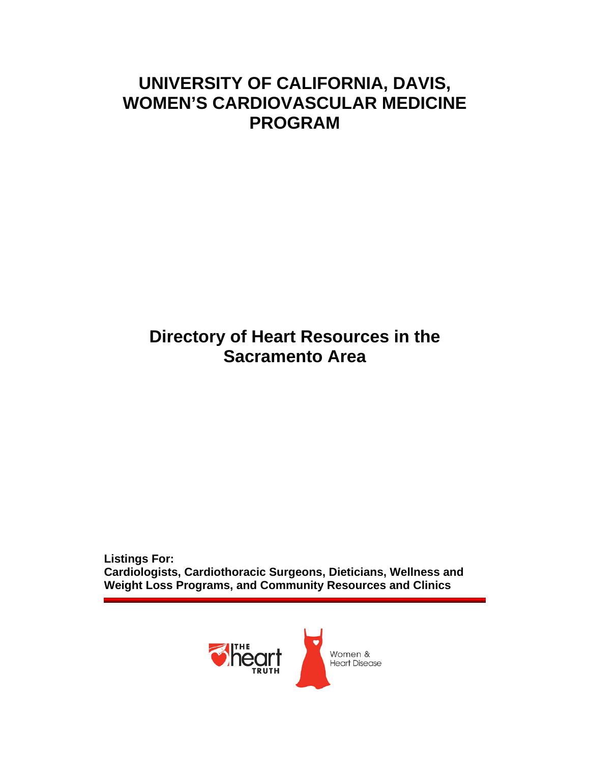# **UNIVERSITY OF CALIFORNIA, DAVIS, WOMEN'S CARDIOVASCULAR MEDICINE PROGRAM**

# **Directory of Heart Resources in the Sacramento Area**

**Listings For: Cardiologists, Cardiothoracic Surgeons, Dieticians, Wellness and Weight Loss Programs, and Community Resources and Clinics** 

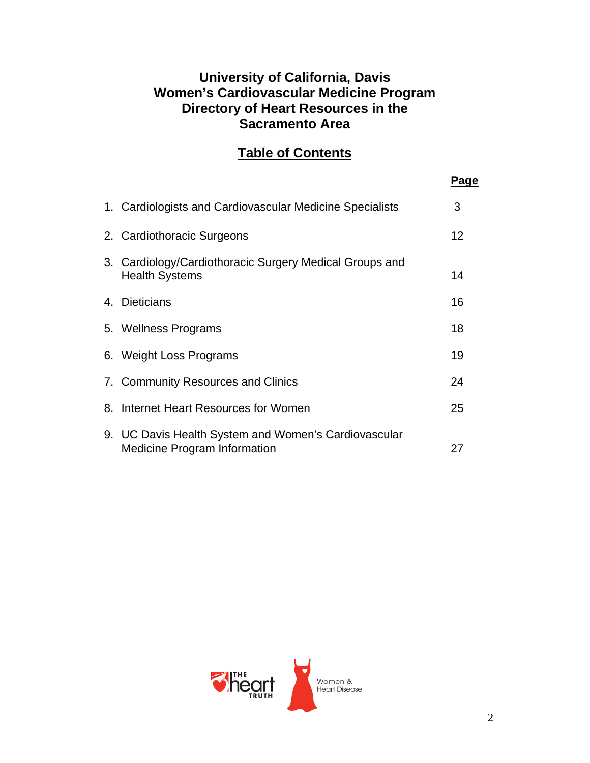### **University of California, Davis Women's Cardiovascular Medicine Program Directory of Heart Resources in the Sacramento Area**

### **Table of Contents**

|                                                                                             | Page |
|---------------------------------------------------------------------------------------------|------|
| 1. Cardiologists and Cardiovascular Medicine Specialists                                    | 3    |
| 2. Cardiothoracic Surgeons                                                                  | 12   |
| 3. Cardiology/Cardiothoracic Surgery Medical Groups and<br><b>Health Systems</b>            | 14   |
| 4. Dieticians                                                                               | 16   |
| 5. Wellness Programs                                                                        | 18   |
| 6. Weight Loss Programs                                                                     | 19   |
| 7. Community Resources and Clinics                                                          | 24   |
| 8. Internet Heart Resources for Women                                                       | 25   |
| 9. UC Davis Health System and Women's Cardiovascular<br><b>Medicine Program Information</b> | 27   |

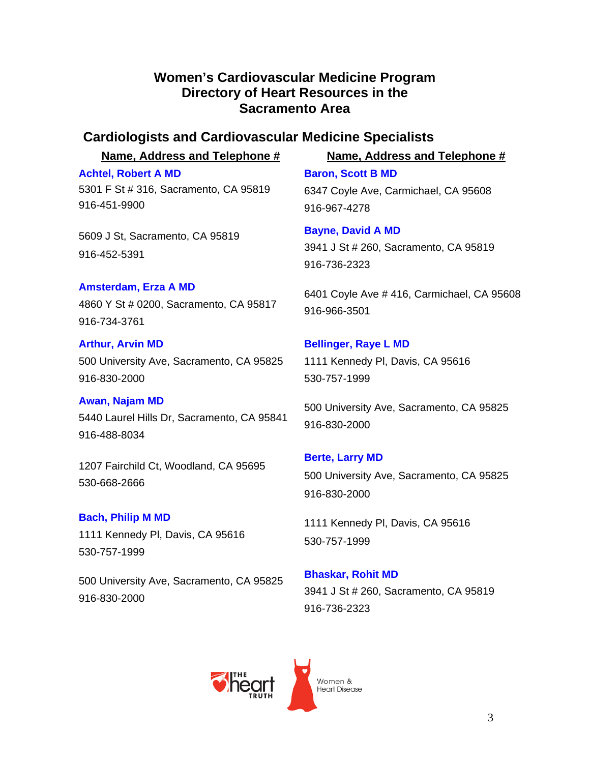### **Women's Cardiovascular Medicine Program Directory of Heart Resources in the Sacramento Area**

### **Cardiologists and Cardiovascular Medicine Specialists**

**Name, Address and Telephone # Name, Address and Telephone #**

**Achtel, Robert A MD** 5301 F St # 316, Sacramento, CA 95819 916-451-9900

5609 J St, Sacramento, CA 95819 916-452-5391

**Amsterdam, Erza A MD** 4860 Y St # 0200, Sacramento, CA 95817 916-734-3761

**Arthur, Arvin MD** 500 University Ave, Sacramento, CA 95825 916-830-2000

### **Awan, Najam MD** 5440 Laurel Hills Dr, Sacramento, CA 95841 916-488-8034

1207 Fairchild Ct, Woodland, CA 95695 530-668-2666

### **Bach, Philip M MD**

1111 Kennedy Pl, Davis, CA 95616 530-757-1999

500 University Ave, Sacramento, CA 95825 916-830-2000

**Baron, Scott B MD** 6347 Coyle Ave, Carmichael, CA 95608 916-967-4278

**Bayne, David A MD** 3941 J St # 260, Sacramento, CA 95819 916-736-2323

6401 Coyle Ave # 416, Carmichael, CA 95608 916-966-3501

# **Bellinger, Raye L MD**

1111 Kennedy Pl, Davis, CA 95616 530-757-1999

500 University Ave, Sacramento, CA 95825 916-830-2000

### **Berte, Larry MD**

500 University Ave, Sacramento, CA 95825 916-830-2000

1111 Kennedy Pl, Davis, CA 95616 530-757-1999

### **Bhaskar, Rohit MD** 3941 J St # 260, Sacramento, CA 95819 916-736-2323

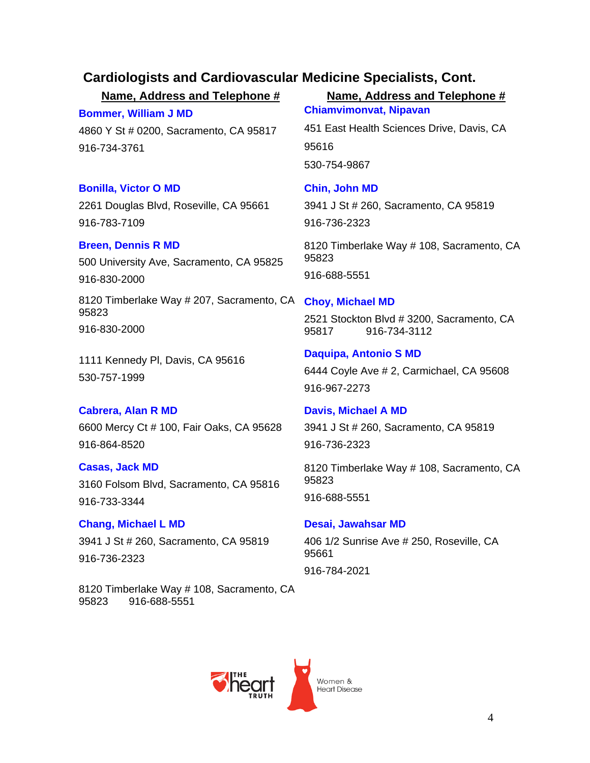**Bommer, William J MD**

4860 Y St # 0200, Sacramento, CA 95817 916-734-3761

### **Bonilla, Victor O MD**

2261 Douglas Blvd, Roseville, CA 95661 916-783-7109

### **Breen, Dennis R MD**

500 University Ave, Sacramento, CA 95825 916-830-2000

8120 Timberlake Way # 207, Sacramento, CA 95823 916-830-2000

1111 Kennedy Pl, Davis, CA 95616 530-757-1999

### **Cabrera, Alan R MD**

6600 Mercy Ct # 100, Fair Oaks, CA 95628 916-864-8520

### **Casas, Jack MD**

3160 Folsom Blvd, Sacramento, CA 95816 916-733-3344

**Chang, Michael L MD** 3941 J St # 260, Sacramento, CA 95819 916-736-2323

8120 Timberlake Way # 108, Sacramento, CA 95823 916-688-5551

### **Name, Address and Telephone # Name, Address and Telephone # Chiamvimonvat, Nipavan**

451 East Health Sciences Drive, Davis, CA 95616 530-754-9867

# **Chin, John MD**

3941 J St # 260, Sacramento, CA 95819 916-736-2323

8120 Timberlake Way # 108, Sacramento, CA 95823 916-688-5551

### **Choy, Michael MD**

2521 Stockton Blvd # 3200, Sacramento, CA 95817 916-734-3112

### **Daquipa, Antonio S MD** 6444 Coyle Ave # 2, Carmichael, CA 95608 916-967-2273

**Davis, Michael A MD** 3941 J St # 260, Sacramento, CA 95819 916-736-2323

8120 Timberlake Way # 108, Sacramento, CA 95823 916-688-5551

### **Desai, Jawahsar MD**

406 1/2 Sunrise Ave # 250, Roseville, CA 95661

916-784-2021

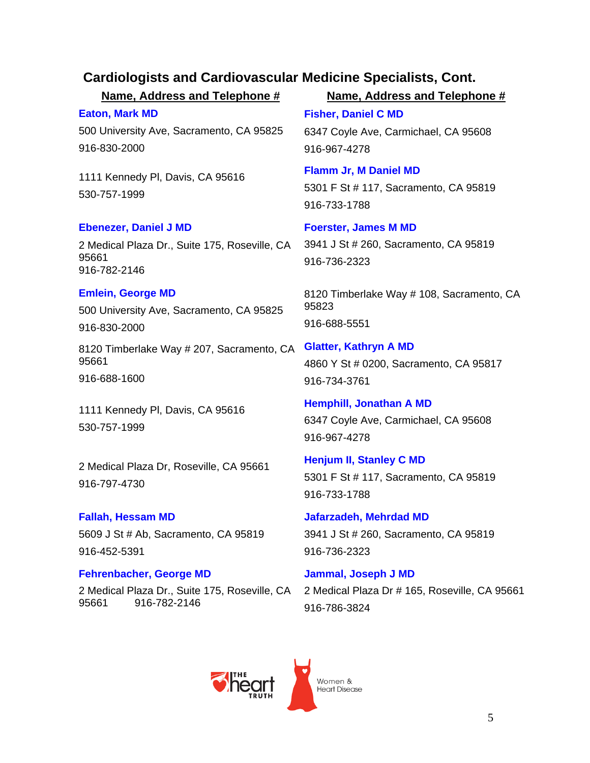**Eaton, Mark MD** 500 University Ave, Sacramento, CA 95825 916-830-2000

1111 Kennedy Pl, Davis, CA 95616 530-757-1999

### **Ebenezer, Daniel J MD**

2 Medical Plaza Dr., Suite 175, Roseville, CA 95661 916-782-2146

### **Emlein, George MD**

500 University Ave, Sacramento, CA 95825 916-830-2000

8120 Timberlake Way # 207, Sacramento, CA 95661

916-688-1600

1111 Kennedy Pl, Davis, CA 95616 530-757-1999

2 Medical Plaza Dr, Roseville, CA 95661 916-797-4730

**Fallah, Hessam MD** 5609 J St # Ab, Sacramento, CA 95819 916-452-5391

### **Fehrenbacher, George MD**

2 Medical Plaza Dr., Suite 175, Roseville, CA 95661 916-782-2146

**Name, Address and Telephone # Name, Address and Telephone #**

**Fisher, Daniel C MD** 6347 Coyle Ave, Carmichael, CA 95608 916-967-4278

**Flamm Jr, M Daniel MD** 5301 F St # 117, Sacramento, CA 95819 916-733-1788

### **Foerster, James M MD**

3941 J St # 260, Sacramento, CA 95819 916-736-2323

8120 Timberlake Way # 108, Sacramento, CA 95823 916-688-5551

**Glatter, Kathryn A MD**  4860 Y St # 0200, Sacramento, CA 95817 916-734-3761

**Hemphill, Jonathan A MD** 6347 Coyle Ave, Carmichael, CA 95608 916-967-4278

**Henjum II, Stanley C MD** 5301 F St # 117, Sacramento, CA 95819 916-733-1788

**Jafarzadeh, Mehrdad MD** 3941 J St # 260, Sacramento, CA 95819 916-736-2323

**Jammal, Joseph J MD** 2 Medical Plaza Dr # 165, Roseville, CA 95661 916-786-3824

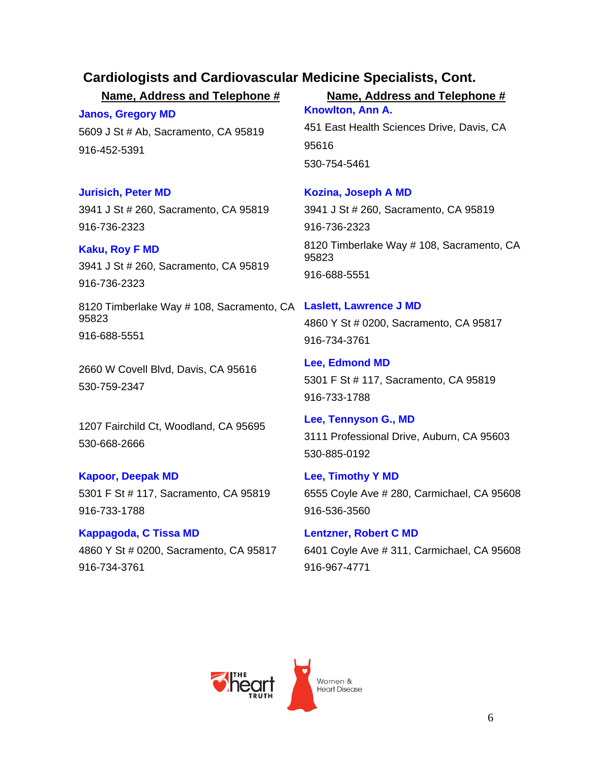**Janos, Gregory MD** 5609 J St # Ab, Sacramento, CA 95819

### **Jurisich, Peter MD**

916-452-5391

3941 J St # 260, Sacramento, CA 95819 916-736-2323

**Kaku, Roy F MD**

3941 J St # 260, Sacramento, CA 95819 916-736-2323

8120 Timberlake Way # 108, Sacramento, CA **Laslett, Lawrence J MD** 95823 916-688-5551

2660 W Covell Blvd, Davis, CA 95616 530-759-2347

1207 Fairchild Ct, Woodland, CA 95695 530-668-2666

### **Kapoor, Deepak MD**

5301 F St # 117, Sacramento, CA 95819 916-733-1788

**Kappagoda, C Tissa MD** 4860 Y St # 0200, Sacramento, CA 95817 916-734-3761

### **Name, Address and Telephone # Name, Address and Telephone #**

**Knowlton, Ann A.**  451 East Health Sciences Drive, Davis, CA 95616 530-754-5461

### **Kozina, Joseph A MD** 3941 J St # 260, Sacramento, CA 95819 916-736-2323 8120 Timberlake Way # 108, Sacramento, CA 95823 916-688-5551

4860 Y St # 0200, Sacramento, CA 95817 916-734-3761

**Lee, Edmond MD** 5301 F St # 117, Sacramento, CA 95819 916-733-1788

**Lee, Tennyson G., MD**  3111 Professional Drive, Auburn, CA 95603 530-885-0192

**Lee, Timothy Y MD** 6555 Coyle Ave # 280, Carmichael, CA 95608 916-536-3560

**Lentzner, Robert C MD** 6401 Coyle Ave # 311, Carmichael, CA 95608 916-967-4771

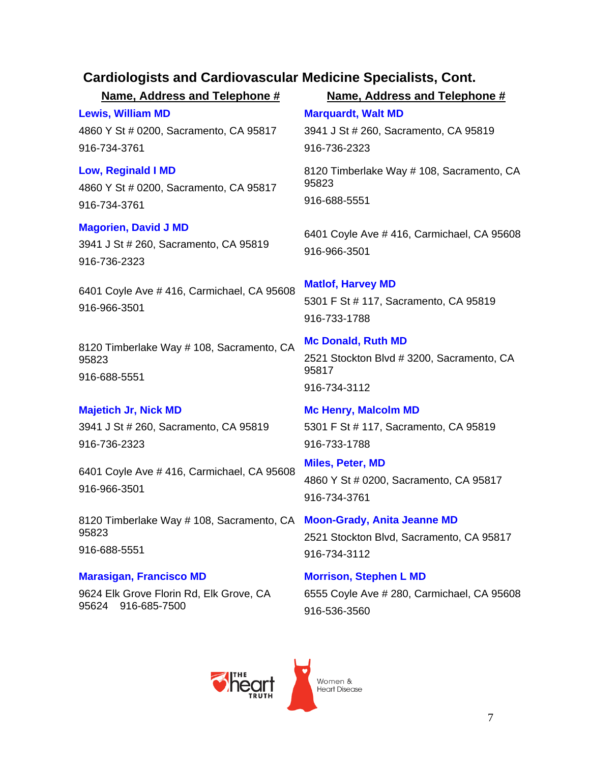**Name, Address and Telephone # Name, Address and Telephone # Lewis, William MD** 4860 Y St # 0200, Sacramento, CA 95817 916-734-3761 **Marquardt, Walt MD** 3941 J St # 260, Sacramento, CA 95819 916-736-2323 **Low, Reginald I MD** 4860 Y St # 0200, Sacramento, CA 95817 916-734-3761 8120 Timberlake Way # 108, Sacramento, CA 95823 916-688-5551 **Magorien, David J MD** 3941 J St # 260, Sacramento, CA 95819 916-736-2323 6401 Coyle Ave # 416, Carmichael, CA 95608 916-966-3501 6401 Coyle Ave # 416, Carmichael, CA 95608 916-966-3501 **Matlof, Harvey MD** 5301 F St # 117, Sacramento, CA 95819 916-733-1788 8120 Timberlake Way # 108, Sacramento, CA 95823 916-688-5551 **Mc Donald, Ruth MD** 2521 Stockton Blvd # 3200, Sacramento, CA 95817 916-734-3112 **Majetich Jr, Nick MD** 3941 J St # 260, Sacramento, CA 95819 916-736-2323 **Mc Henry, Malcolm MD** 5301 F St # 117, Sacramento, CA 95819 916-733-1788 6401 Coyle Ave # 416, Carmichael, CA 95608 916-966-3501 **Miles, Peter, MD**  4860 Y St # 0200, Sacramento, CA 95817 916-734-3761 8120 Timberlake Way # 108, Sacramento, CA **Moon-Grady, Anita Jeanne MD**  95823 916-688-5551 2521 Stockton Blvd, Sacramento, CA 95817 916-734-3112 **Marasigan, Francisco MD** 9624 Elk Grove Florin Rd, Elk Grove, CA 95624 916-685-7500 **Morrison, Stephen L MD** 6555 Coyle Ave # 280, Carmichael, CA 95608 916-536-3560

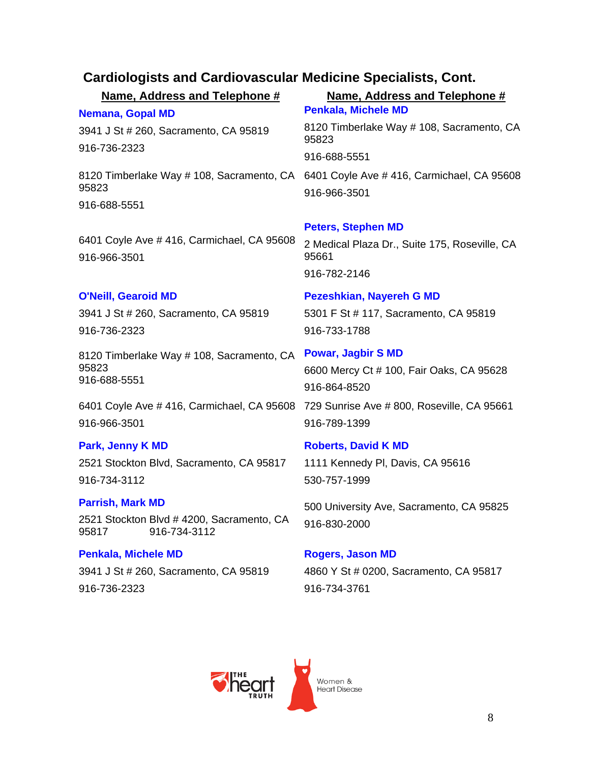| Cardiologists and Cardiovascular medicine opecialists, Cont.       |                                                                                                      |
|--------------------------------------------------------------------|------------------------------------------------------------------------------------------------------|
| Name, Address and Telephone #                                      | Name, Address and Telephone #                                                                        |
| Nemana, Gopal MD                                                   | <b>Penkala, Michele MD</b>                                                                           |
| 3941 J St # 260, Sacramento, CA 95819                              | 8120 Timberlake Way # 108, Sacramento, CA<br>95823                                                   |
| 916-736-2323                                                       | 916-688-5551                                                                                         |
| 95823                                                              | 8120 Timberlake Way # 108, Sacramento, CA 6401 Coyle Ave # 416, Carmichael, CA 95608<br>916-966-3501 |
| 916-688-5551                                                       |                                                                                                      |
|                                                                    | <b>Peters, Stephen MD</b>                                                                            |
| 6401 Coyle Ave # 416, Carmichael, CA 95608<br>916-966-3501         | 2 Medical Plaza Dr., Suite 175, Roseville, CA<br>95661                                               |
|                                                                    | 916-782-2146                                                                                         |
| <b>O'Neill, Gearoid MD</b>                                         | <b>Pezeshkian, Nayereh G MD</b>                                                                      |
| 3941 J St # 260, Sacramento, CA 95819                              | 5301 F St # 117, Sacramento, CA 95819                                                                |
| 916-736-2323                                                       | 916-733-1788                                                                                         |
|                                                                    |                                                                                                      |
| 8120 Timberlake Way # 108, Sacramento, CA<br>95823<br>916-688-5551 | <b>Powar, Jagbir S MD</b><br>6600 Mercy Ct # 100, Fair Oaks, CA 95628                                |
|                                                                    | 916-864-8520                                                                                         |
| 6401 Coyle Ave # 416, Carmichael, CA 95608<br>916-966-3501         | 729 Sunrise Ave # 800, Roseville, CA 95661<br>916-789-1399                                           |
| Park, Jenny K MD                                                   | <b>Roberts, David K MD</b>                                                                           |
| 2521 Stockton Blvd, Sacramento, CA 95817                           | 1111 Kennedy PI, Davis, CA 95616                                                                     |
| 916-734-3112                                                       | 530-757-1999                                                                                         |
| <b>Parrish, Mark MD</b>                                            |                                                                                                      |
| 2521 Stockton Blvd # 4200, Sacramento, CA<br>916-734-3112<br>95817 | 500 University Ave, Sacramento, CA 95825<br>916-830-2000                                             |
| <b>Penkala, Michele MD</b>                                         | <b>Rogers, Jason MD</b>                                                                              |
| 3941 J St # 260, Sacramento, CA 95819                              | 4860 Y St # 0200, Sacramento, CA 95817                                                               |
| 916-736-2323                                                       | 916-734-3761                                                                                         |

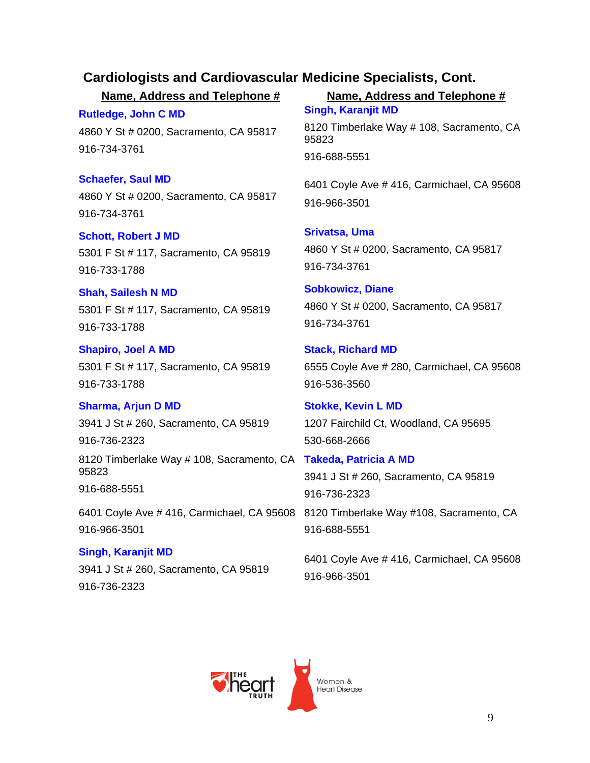**Rutledge, John C MD** 4860 Y St # 0200, Sacramento, CA 95817 916-734-3761

**Schaefer, Saul MD** 4860 Y St # 0200, Sacramento, CA 95817 916-734-3761

**Schott, Robert J MD** 5301 F St # 117, Sacramento, CA 95819 916-733-1788

**Shah, Sailesh N MD** 5301 F St # 117, Sacramento, CA 95819 916-733-1788

**Shapiro, Joel A MD** 5301 F St # 117, Sacramento, CA 95819 916-733-1788

**Sharma, Arjun D MD** 3941 J St # 260, Sacramento, CA 95819 916-736-2323

8120 Timberlake Way # 108, Sacramento, CA **Takeda, Patricia A MD** 95823 916-688-5551

6401 Coyle Ave # 416, Carmichael, CA 95608 8120 Timberlake Way #108, Sacramento, CA 916-966-3501

**Singh, Karanjit MD** 3941 J St # 260, Sacramento, CA 95819 916-736-2323

**Name, Address and Telephone # Name, Address and Telephone # Singh, Karanjit MD** 

> 8120 Timberlake Way # 108, Sacramento, CA 95823 916-688-5551

> 6401 Coyle Ave # 416, Carmichael, CA 95608 916-966-3501

**Srivatsa, Uma**  4860 Y St # 0200, Sacramento, CA 95817 916-734-3761

**Sobkowicz, Diane**  4860 Y St # 0200, Sacramento, CA 95817 916-734-3761

**Stack, Richard MD** 6555 Coyle Ave # 280, Carmichael, CA 95608 916-536-3560

**Stokke, Kevin L MD** 1207 Fairchild Ct, Woodland, CA 95695 530-668-2666

3941 J St # 260, Sacramento, CA 95819 916-736-2323 916-688-5551

6401 Coyle Ave # 416, Carmichael, CA 95608 916-966-3501

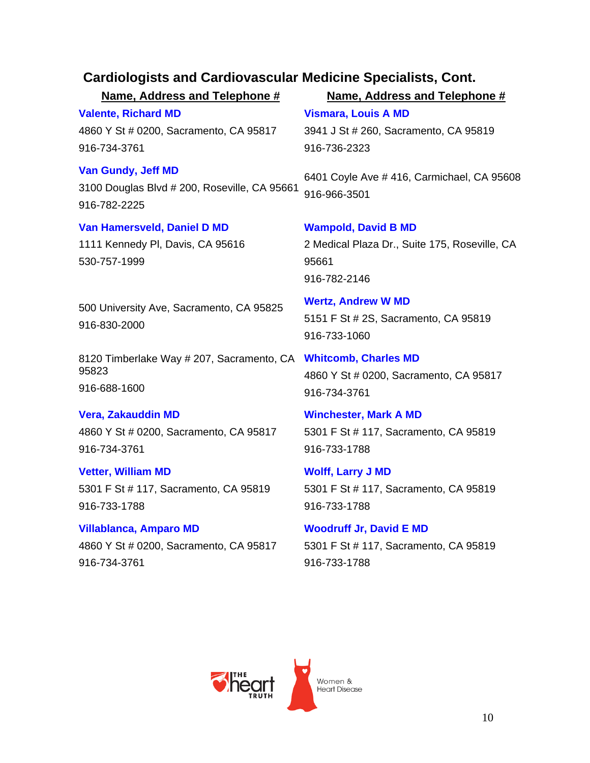| Name, Address and Telephone #                                                             | Name, Address and Telephone #                                                                        |
|-------------------------------------------------------------------------------------------|------------------------------------------------------------------------------------------------------|
| <b>Valente, Richard MD</b><br>4860 Y St # 0200, Sacramento, CA 95817<br>916-734-3761      | <b>Vismara, Louis A MD</b><br>3941 J St # 260, Sacramento, CA 95819<br>916-736-2323                  |
| <b>Van Gundy, Jeff MD</b><br>3100 Douglas Blvd # 200, Roseville, CA 95661<br>916-782-2225 | 6401 Coyle Ave #416, Carmichael, CA 95608<br>916-966-3501                                            |
| Van Hamersveld, Daniel D MD<br>1111 Kennedy PI, Davis, CA 95616<br>530-757-1999           | <b>Wampold, David B MD</b><br>2 Medical Plaza Dr., Suite 175, Roseville, CA<br>95661<br>916-782-2146 |
| 500 University Ave, Sacramento, CA 95825<br>916-830-2000                                  | <b>Wertz, Andrew W MD</b><br>5151 F St # 2S, Sacramento, CA 95819<br>916-733-1060                    |
| 8120 Timberlake Way # 207, Sacramento, CA<br>95823<br>916-688-1600                        | <b>Whitcomb, Charles MD</b><br>4860 Y St # 0200, Sacramento, CA 95817<br>916-734-3761                |
| <b>Vera, Zakauddin MD</b><br>4860 Y St # 0200, Sacramento, CA 95817<br>916-734-3761       | <b>Winchester, Mark A MD</b><br>5301 F St # 117, Sacramento, CA 95819<br>916-733-1788                |
| <b>Vetter, William MD</b><br>5301 F St # 117, Sacramento, CA 95819<br>916-733-1788        | <b>Wolff, Larry J MD</b><br>5301 F St # 117, Sacramento, CA 95819<br>916-733-1788                    |
| <b>Villablanca, Amparo MD</b><br>4860 Y St # 0200, Sacramento, CA 95817<br>916-734-3761   | <b>Woodruff Jr, David E MD</b><br>5301 F St # 117, Sacramento, CA 95819<br>916-733-1788              |
|                                                                                           |                                                                                                      |
|                                                                                           | Women &<br><b>Heart Disease</b>                                                                      |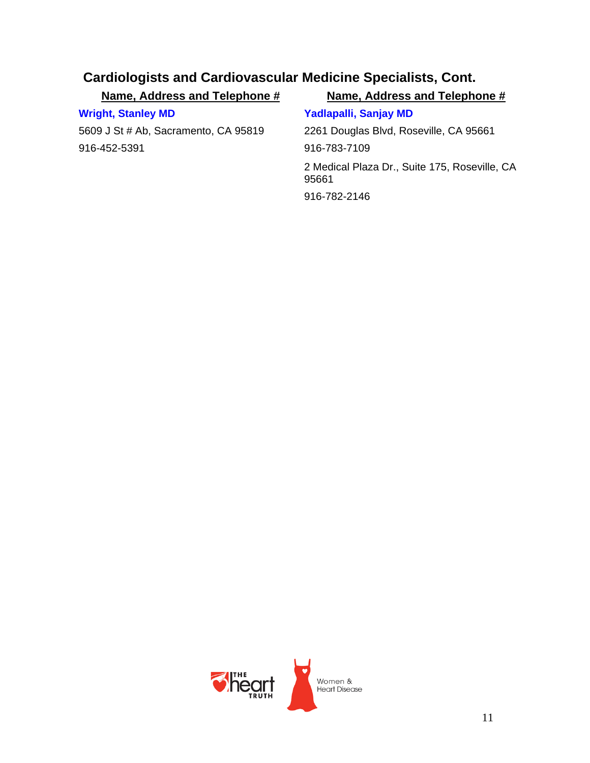| Name, Address and Telephone #        | Name, Address and Telephone #                          |
|--------------------------------------|--------------------------------------------------------|
| <b>Wright, Stanley MD</b>            | Yadlapalli, Sanjay MD                                  |
| 5609 J St # Ab, Sacramento, CA 95819 | 2261 Douglas Blvd, Roseville, CA 95661                 |
| 916-452-5391                         | 916-783-7109                                           |
|                                      | 2 Medical Plaza Dr., Suite 175, Roseville, CA<br>95661 |
|                                      | 916-782-2146                                           |
|                                      |                                                        |

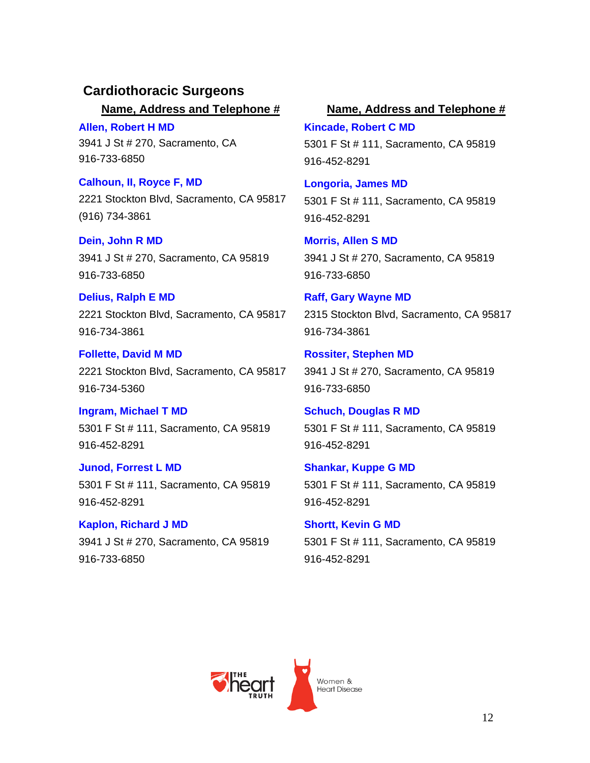### **Cardiothoracic Surgeons**

**Allen, Robert H MD** 3941 J St # 270, Sacramento, CA 916-733-6850

**Calhoun, II, Royce F, MD**  2221 Stockton Blvd, Sacramento, CA 95817 (916) 734-3861

**Dein, John R MD** 3941 J St # 270, Sacramento, CA 95819 916-733-6850

**Delius, Ralph E MD** 2221 Stockton Blvd, Sacramento, CA 95817 916-734-3861

**Follette, David M MD** 2221 Stockton Blvd, Sacramento, CA 95817 916-734-5360

**Ingram, Michael T MD** 5301 F St # 111, Sacramento, CA 95819 916-452-8291

**Junod, Forrest L MD** 5301 F St # 111, Sacramento, CA 95819 916-452-8291

**Kaplon, Richard J MD** 3941 J St # 270, Sacramento, CA 95819 916-733-6850

### **Name, Address and Telephone # Name, Address and Telephone #**

**Kincade, Robert C MD** 5301 F St # 111, Sacramento, CA 95819 916-452-8291

**Longoria, James MD** 5301 F St # 111, Sacramento, CA 95819 916-452-8291

**Morris, Allen S MD** 3941 J St # 270, Sacramento, CA 95819 916-733-6850

**Raff, Gary Wayne MD**  2315 Stockton Blvd, Sacramento, CA 95817 916-734-3861

**Rossiter, Stephen MD** 3941 J St # 270, Sacramento, CA 95819 916-733-6850

**Schuch, Douglas R MD** 5301 F St # 111, Sacramento, CA 95819 916-452-8291

**Shankar, Kuppe G MD** 5301 F St # 111, Sacramento, CA 95819 916-452-8291

**Shortt, Kevin G MD** 5301 F St # 111, Sacramento, CA 95819 916-452-8291

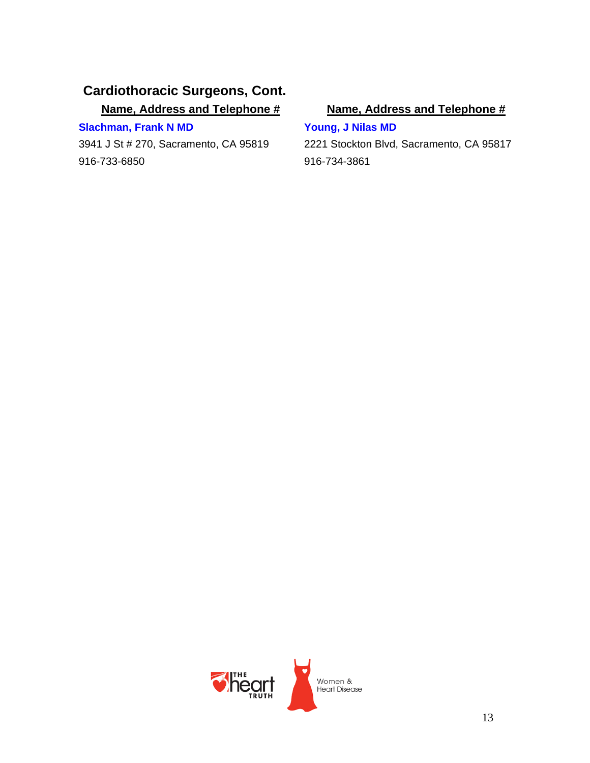### **Cardiothoracic Surgeons, Cont.**

**Name, Address and Telephone # Name, Address and Telephone #**

### **Slachman, Frank N MD**

3941 J St # 270, Sacramento, CA 95819 916-733-6850

**Young, J Nilas MD**

2221 Stockton Blvd, Sacramento, CA 95817 916-734-3861

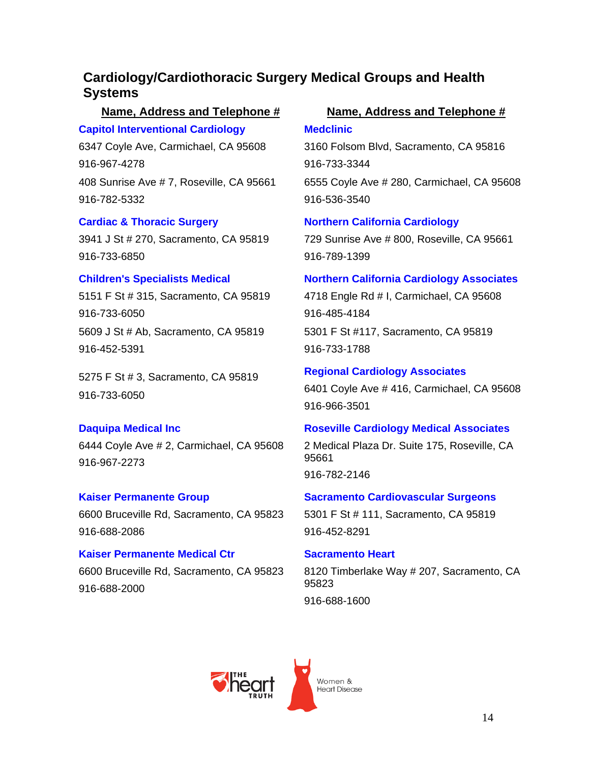### **Cardiology/Cardiothoracic Surgery Medical Groups and Health Systems**

### **Capitol Interventional Cardiology**

6347 Coyle Ave, Carmichael, CA 95608 916-967-4278 408 Sunrise Ave # 7, Roseville, CA 95661 916-782-5332

### **Cardiac & Thoracic Surgery**

3941 J St # 270, Sacramento, CA 95819 916-733-6850

### **Children's Specialists Medical**

5151 F St # 315, Sacramento, CA 95819 916-733-6050 5609 J St # Ab, Sacramento, CA 95819 916-452-5391

5275 F St # 3, Sacramento, CA 95819 916-733-6050

### **Daquipa Medical Inc**

6444 Coyle Ave # 2, Carmichael, CA 95608 916-967-2273

### **Kaiser Permanente Group**

6600 Bruceville Rd, Sacramento, CA 95823 916-688-2086

### **Kaiser Permanente Medical Ctr** 6600 Bruceville Rd, Sacramento, CA 95823 916-688-2000

### **Name, Address and Telephone # Name, Address and Telephone # Medclinic**

3160 Folsom Blvd, Sacramento, CA 95816 916-733-3344 6555 Coyle Ave # 280, Carmichael, CA 95608 916-536-3540

### **Northern California Cardiology**

729 Sunrise Ave # 800, Roseville, CA 95661 916-789-1399

## **Northern California Cardiology Associates**  4718 Engle Rd # I, Carmichael, CA 95608

916-485-4184 5301 F St #117, Sacramento, CA 95819 916-733-1788

# **Regional Cardiology Associates**

6401 Coyle Ave # 416, Carmichael, CA 95608 916-966-3501

### **Roseville Cardiology Medical Associates**

2 Medical Plaza Dr. Suite 175, Roseville, CA 95661 916-782-2146

### **Sacramento Cardiovascular Surgeons** 5301 F St # 111, Sacramento, CA 95819

916-452-8291

### **Sacramento Heart**

8120 Timberlake Way # 207, Sacramento, CA 95823 916-688-1600

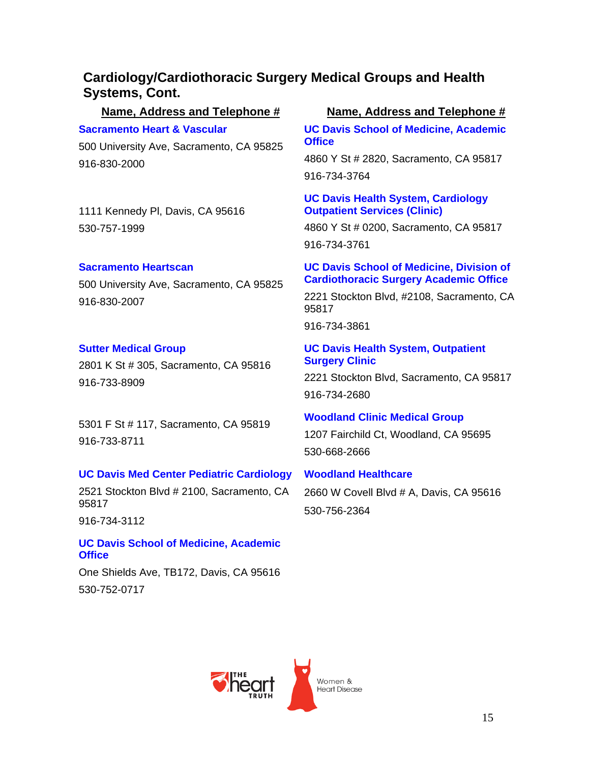### **Cardiology/Cardiothoracic Surgery Medical Groups and Health Systems, Cont.**

### **Name, Address and Telephone # Name, Address and Telephone #**

### **Sacramento Heart & Vascular**

500 University Ave, Sacramento, CA 95825 916-830-2000

1111 Kennedy Pl, Davis, CA 95616 530-757-1999

### **Sacramento Heartscan**

500 University Ave, Sacramento, CA 95825 916-830-2007

### **Sutter Medical Group**

2801 K St # 305, Sacramento, CA 95816 916-733-8909

5301 F St # 117, Sacramento, CA 95819 916-733-8711

### **UC Davis Med Center Pediatric Cardiology**

2521 Stockton Blvd # 2100, Sacramento, CA 95817

916-734-3112

**UC Davis School of Medicine, Academic Office** 

One Shields Ave, TB172, Davis, CA 95616 530-752-0717

**UC Davis School of Medicine, Academic Office** 

4860 Y St # 2820, Sacramento, CA 95817 916-734-3764

### **UC Davis Health System, Cardiology Outpatient Services (Clinic)**

4860 Y St # 0200, Sacramento, CA 95817 916-734-3761

### **UC Davis School of Medicine, Division of Cardiothoracic Surgery Academic Office**

2221 Stockton Blvd, #2108, Sacramento, CA 95817

916-734-3861

### **UC Davis Health System, Outpatient Surgery Clinic**

2221 Stockton Blvd, Sacramento, CA 95817 916-734-2680

### **Woodland Clinic Medical Group**

1207 Fairchild Ct, Woodland, CA 95695 530-668-2666

### **Woodland Healthcare**

2660 W Covell Blvd # A, Davis, CA 95616 530-756-2364

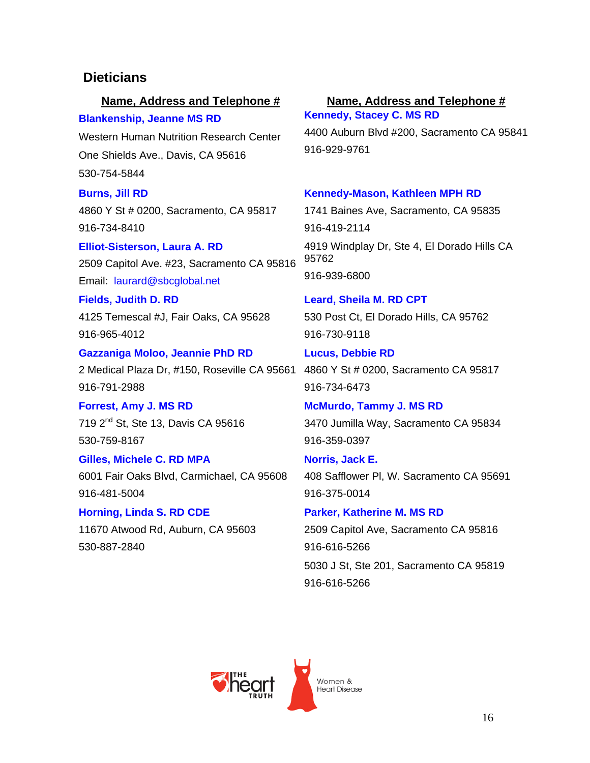### **Dieticians**

### **Name, Address and Telephone # Name, Address and Telephone #**

**Blankenship, Jeanne MS RD**  Western Human Nutrition Research Center One Shields Ave., Davis, CA 95616 530-754-5844

### **Burns, Jill RD**

4860 Y St # 0200, Sacramento, CA 95817 916-734-8410

**Elliot-Sisterson, Laura A. RD**  2509 Capitol Ave. #23, Sacramento CA 95816 Email: laurard@sbcglobal.net

**Fields, Judith D. RD**  4125 Temescal #J, Fair Oaks, CA 95628 916-965-4012

**Gazzaniga Moloo, Jeannie PhD RD**  2 Medical Plaza Dr, #150, Roseville CA 95661 4860 Y St # 0200, Sacramento CA 95817 916-791-2988

**Forrest, Amy J. MS RD**  719 2<sup>nd</sup> St, Ste 13, Davis CA 95616 530-759-8167

**Gilles, Michele C. RD MPA**  6001 Fair Oaks Blvd, Carmichael, CA 95608 916-481-5004

**Horning, Linda S. RD CDE**  11670 Atwood Rd, Auburn, CA 95603 530-887-2840

**Kennedy, Stacey C. MS RD**  4400 Auburn Blvd #200, Sacramento CA 95841 916-929-9761

### **Kennedy-Mason, Kathleen MPH RD**

1741 Baines Ave, Sacramento, CA 95835 916-419-2114 4919 Windplay Dr, Ste 4, El Dorado Hills CA 95762 916-939-6800

**Leard, Sheila M. RD CPT**  530 Post Ct, El Dorado Hills, CA 95762 916-730-9118

**Lucus, Debbie RD**  916-734-6473

**McMurdo, Tammy J. MS RD**  3470 Jumilla Way, Sacramento CA 95834 916-359-0397

**Norris, Jack E.**  408 Safflower Pl, W. Sacramento CA 95691 916-375-0014

**Parker, Katherine M. MS RD**  2509 Capitol Ave, Sacramento CA 95816 916-616-5266 5030 J St, Ste 201, Sacramento CA 95819 916-616-5266

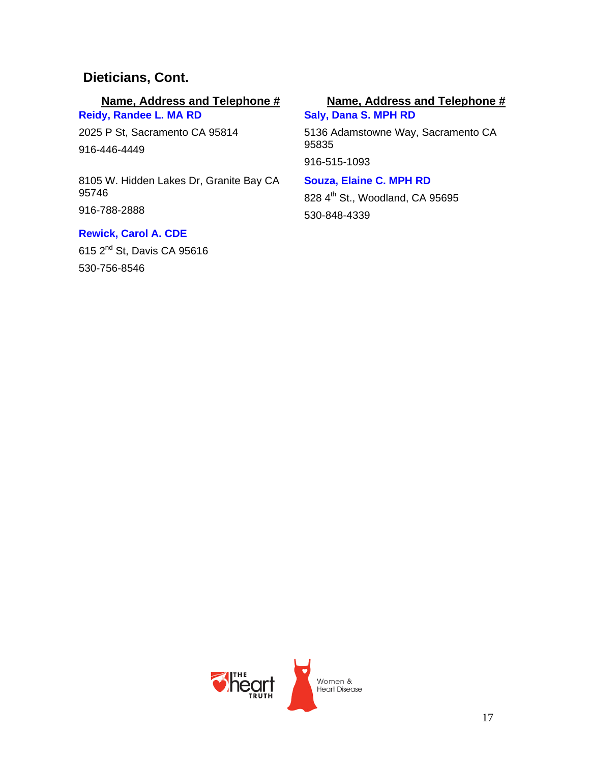### **Dieticians, Cont.**

**Reidy, Randee L. MA RD**  2025 P St, Sacramento CA 95814 916-446-4449

8105 W. Hidden Lakes Dr, Granite Bay CA 95746 916-788-2888

### **Rewick, Carol A. CDE**

615 2nd St, Davis CA 95616 530-756-8546

### **Name, Address and Telephone # Name, Address and Telephone #**

**Saly, Dana S. MPH RD**  5136 Adamstowne Way, Sacramento CA 95835 916-515-1093

### **Souza, Elaine C. MPH RD**

828 4<sup>th</sup> St., Woodland, CA 95695 530-848-4339

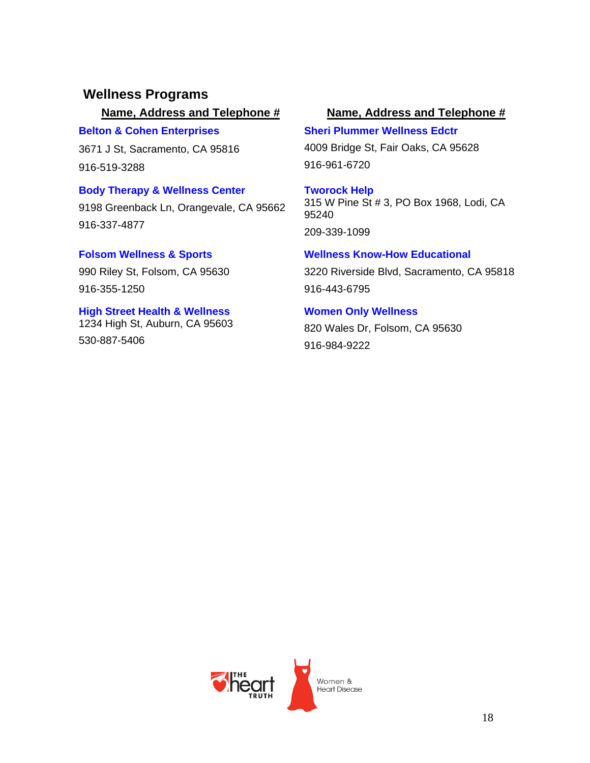### **Wellness Programs**

### **Belton & Cohen Enterprises**

3671 J St, Sacramento, CA 95816 916-519-3288

# **Body Therapy & Wellness Center**

9198 Greenback Ln, Orangevale, CA 95662 916-337-4877

# **Folsom Wellness & Sports**

990 Riley St, Folsom, CA 95630 916-355-1250

### **High Street Health & Wellness** 1234 High St, Auburn, CA 95603 530-887-5406

### **Name, Address and Telephone # Name, Address and Telephone #**

### **Sheri Plummer Wellness Edctr**

4009 Bridge St, Fair Oaks, CA 95628 916-961-6720

### **Tworock Help** 315 W Pine St # 3, PO Box 1968, Lodi, CA 95240 209-339-1099

# **Wellness Know-How Educational**

3220 Riverside Blvd, Sacramento, CA 95818 916-443-6795

### **Women Only Wellness**

820 Wales Dr, Folsom, CA 95630 916-984-9222

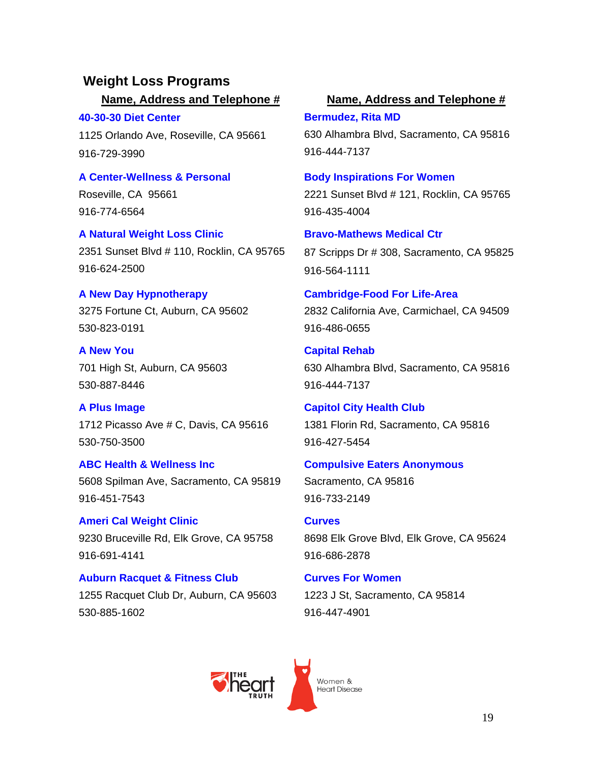# **Weight Loss Programs**

**40-30-30 Diet Center** 1125 Orlando Ave, Roseville, CA 95661 916-729-3990

**A Center-Wellness & Personal**

Roseville, CA 95661 916-774-6564

**A Natural Weight Loss Clinic** 2351 Sunset Blvd # 110, Rocklin, CA 95765 916-624-2500

### **A New Day Hypnotherapy**

3275 Fortune Ct, Auburn, CA 95602 530-823-0191

**A New You** 701 High St, Auburn, CA 95603 530-887-8446

**A Plus Image** 1712 Picasso Ave # C, Davis, CA 95616 530-750-3500

**ABC Health & Wellness Inc** 5608 Spilman Ave, Sacramento, CA 95819 916-451-7543

**Ameri Cal Weight Clinic** 9230 Bruceville Rd, Elk Grove, CA 95758 916-691-4141

**Auburn Racquet & Fitness Club** 1255 Racquet Club Dr, Auburn, CA 95603 530-885-1602

### **Name, Address and Telephone # Name, Address and Telephone #**

**Bermudez, Rita MD** 630 Alhambra Blvd, Sacramento, CA 95816 916-444-7137

### **Body Inspirations For Women**

2221 Sunset Blvd # 121, Rocklin, CA 95765 916-435-4004

**Bravo-Mathews Medical Ctr** 87 Scripps Dr # 308, Sacramento, CA 95825 916-564-1111

**Cambridge-Food For Life-Area** 2832 California Ave, Carmichael, CA 94509 916-486-0655

**Capital Rehab** 630 Alhambra Blvd, Sacramento, CA 95816 916-444-7137

**Capitol City Health Club** 1381 Florin Rd, Sacramento, CA 95816 916-427-5454

### **Compulsive Eaters Anonymous** Sacramento, CA 95816

916-733-2149

**Curves**  8698 Elk Grove Blvd, Elk Grove, CA 95624 916-686-2878

**Curves For Women** 1223 J St, Sacramento, CA 95814 916-447-4901

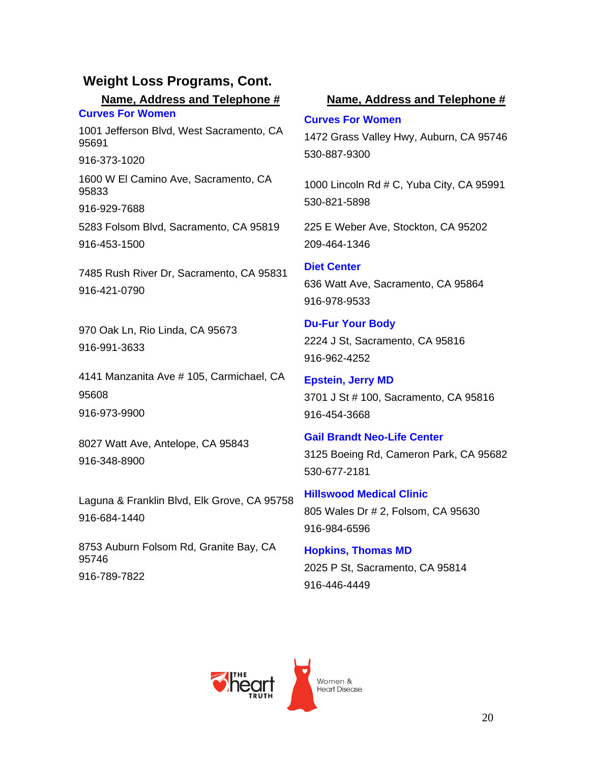**Curves For Women**  1001 Jefferson Blvd, West Sacramento, CA 95691

916-373-1020

1600 W El Camino Ave, Sacramento, CA 95833

916-929-7688

5283 Folsom Blvd, Sacramento, CA 95819 916-453-1500

7485 Rush River Dr, Sacramento, CA 95831 916-421-0790

970 Oak Ln, Rio Linda, CA 95673 916-991-3633

4141 Manzanita Ave # 105, Carmichael, CA 95608 916-973-9900

8027 Watt Ave, Antelope, CA 95843 916-348-8900

Laguna & Franklin Blvd, Elk Grove, CA 95758 916-684-1440

8753 Auburn Folsom Rd, Granite Bay, CA 95746 916-789-7822

### **Name, Address and Telephone # Name, Address and Telephone #**

### **Curves For Women**

1472 Grass Valley Hwy, Auburn, CA 95746 530-887-9300

1000 Lincoln Rd # C, Yuba City, CA 95991 530-821-5898

225 E Weber Ave, Stockton, CA 95202 209-464-1346

**Diet Center** 636 Watt Ave, Sacramento, CA 95864 916-978-9533

**Du-Fur Your Body** 2224 J St, Sacramento, CA 95816 916-962-4252

**Epstein, Jerry MD** 3701 J St # 100, Sacramento, CA 95816 916-454-3668

**Gail Brandt Neo-Life Center** 3125 Boeing Rd, Cameron Park, CA 95682 530-677-2181

**Hillswood Medical Clinic** 805 Wales Dr # 2, Folsom, CA 95630 916-984-6596

**Hopkins, Thomas MD** 2025 P St, Sacramento, CA 95814 916-446-4449

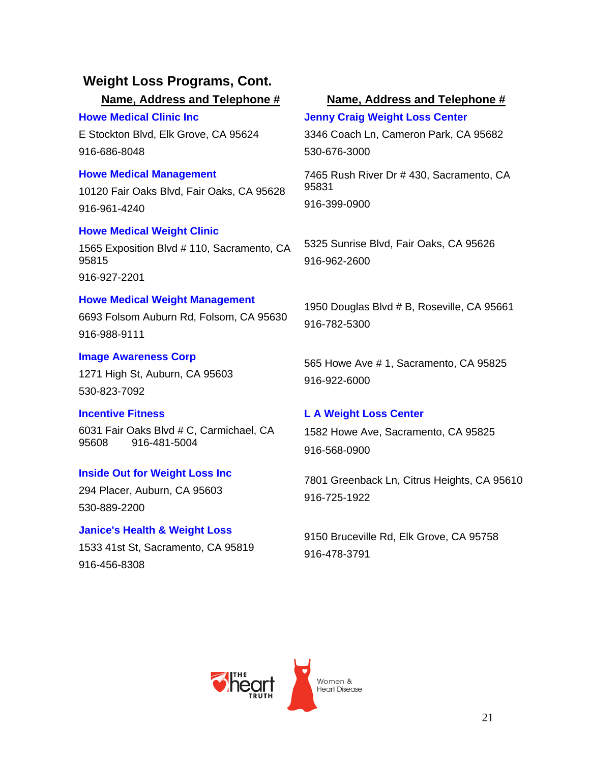**Howe Medical Clinic Inc**

E Stockton Blvd, Elk Grove, CA 95624 916-686-8048

### **Howe Medical Management**

10120 Fair Oaks Blvd, Fair Oaks, CA 95628 916-961-4240

### **Howe Medical Weight Clinic**

1565 Exposition Blvd # 110, Sacramento, CA 95815 916-927-2201

### **Howe Medical Weight Management**

6693 Folsom Auburn Rd, Folsom, CA 95630 916-988-9111

### **Image Awareness Corp**

1271 High St, Auburn, CA 95603 530-823-7092

### **Incentive Fitness**

6031 Fair Oaks Blvd # C, Carmichael, CA 95608 916-481-5004

### **Inside Out for Weight Loss Inc**

294 Placer, Auburn, CA 95603 530-889-2200

### **Janice's Health & Weight Loss**

1533 41st St, Sacramento, CA 95819 916-456-8308

### **Name, Address and Telephone # Name, Address and Telephone #**

**Jenny Craig Weight Loss Center** 3346 Coach Ln, Cameron Park, CA 95682 530-676-3000

7465 Rush River Dr # 430, Sacramento, CA 95831 916-399-0900

5325 Sunrise Blvd, Fair Oaks, CA 95626 916-962-2600

1950 Douglas Blvd # B, Roseville, CA 95661 916-782-5300

565 Howe Ave # 1, Sacramento, CA 95825 916-922-6000

### **L A Weight Loss Center**

1582 Howe Ave, Sacramento, CA 95825 916-568-0900

7801 Greenback Ln, Citrus Heights, CA 95610 916-725-1922

9150 Bruceville Rd, Elk Grove, CA 95758 916-478-3791

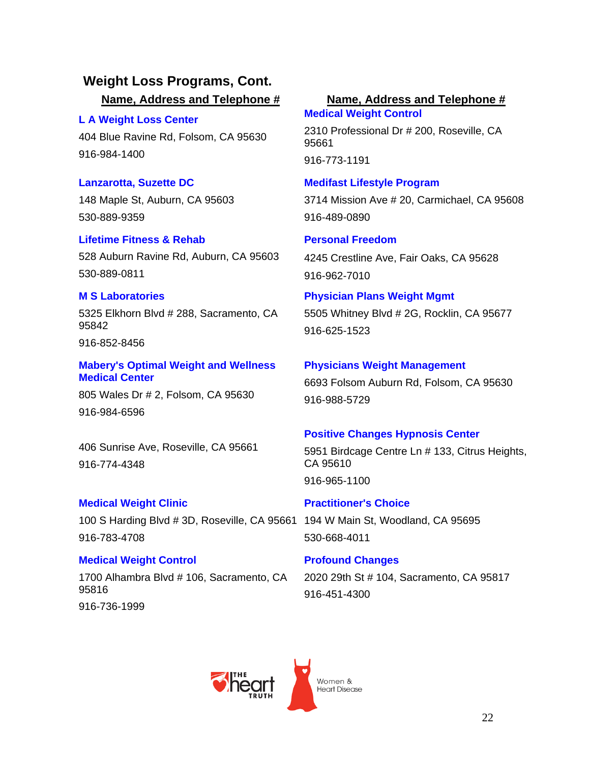**L A Weight Loss Center**  404 Blue Ravine Rd, Folsom, CA 95630 916-984-1400

**Lanzarotta, Suzette DC** 148 Maple St, Auburn, CA 95603 530-889-9359

**Lifetime Fitness & Rehab** 528 Auburn Ravine Rd, Auburn, CA 95603 530-889-0811

### **M S Laboratories**

5325 Elkhorn Blvd # 288, Sacramento, CA 95842

916-852-8456

**Mabery's Optimal Weight and Wellness Medical Center** 

805 Wales Dr # 2, Folsom, CA 95630 916-984-6596

406 Sunrise Ave, Roseville, CA 95661 916-774-4348

### **Medical Weight Clinic**

100 S Harding Blvd # 3D, Roseville, CA 95661 194 W Main St, Woodland, CA 95695 916-783-4708

### **Medical Weight Control**

1700 Alhambra Blvd # 106, Sacramento, CA 95816 916-736-1999

### **Name, Address and Telephone # Name, Address and Telephone #**

**Medical Weight Control**  2310 Professional Dr # 200, Roseville, CA 95661 916-773-1191

### **Medifast Lifestyle Program**

3714 Mission Ave # 20, Carmichael, CA 95608 916-489-0890

### **Personal Freedom**

4245 Crestline Ave, Fair Oaks, CA 95628 916-962-7010

**Physician Plans Weight Mgmt** 5505 Whitney Blvd # 2G, Rocklin, CA 95677

916-625-1523

### **Physicians Weight Management**

6693 Folsom Auburn Rd, Folsom, CA 95630 916-988-5729

### **Positive Changes Hypnosis Center**

5951 Birdcage Centre Ln # 133, Citrus Heights, CA 95610 916-965-1100

**Practitioner's Choice** 530-668-4011

**Profound Changes** 2020 29th St # 104, Sacramento, CA 95817 916-451-4300

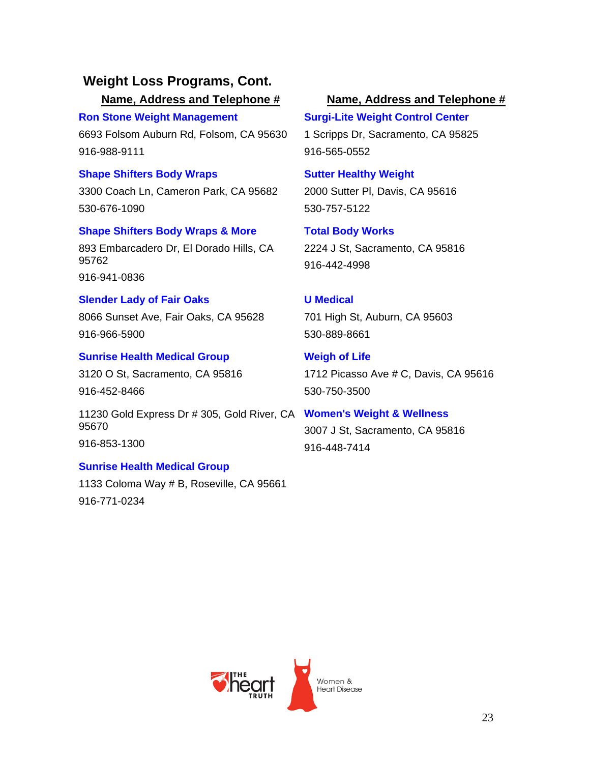**Ron Stone Weight Management** 6693 Folsom Auburn Rd, Folsom, CA 95630 916-988-9111

### **Shape Shifters Body Wraps**

3300 Coach Ln, Cameron Park, CA 95682 530-676-1090

## **Shape Shifters Body Wraps & More**

893 Embarcadero Dr, El Dorado Hills, CA 95762

916-941-0836

### **Slender Lady of Fair Oaks**

8066 Sunset Ave, Fair Oaks, CA 95628 916-966-5900

### **Sunrise Health Medical Group**

3120 O St, Sacramento, CA 95816 916-452-8466

11230 Gold Express Dr # 305, Gold River, CA **Women's Weight & Wellness** 95670 916-853-1300

### **Sunrise Health Medical Group**

1133 Coloma Way # B, Roseville, CA 95661 916-771-0234

### **Name, Address and Telephone # Name, Address and Telephone #**

**Surgi-Lite Weight Control Center** 1 Scripps Dr, Sacramento, CA 95825 916-565-0552

### **Sutter Healthy Weight**

2000 Sutter Pl, Davis, CA 95616 530-757-5122

**Total Body Works** 2224 J St, Sacramento, CA 95816 916-442-4998

### **U Medical**

701 High St, Auburn, CA 95603 530-889-8661

**Weigh of Life** 1712 Picasso Ave # C, Davis, CA 95616 530-750-3500

3007 J St, Sacramento, CA 95816 916-448-7414

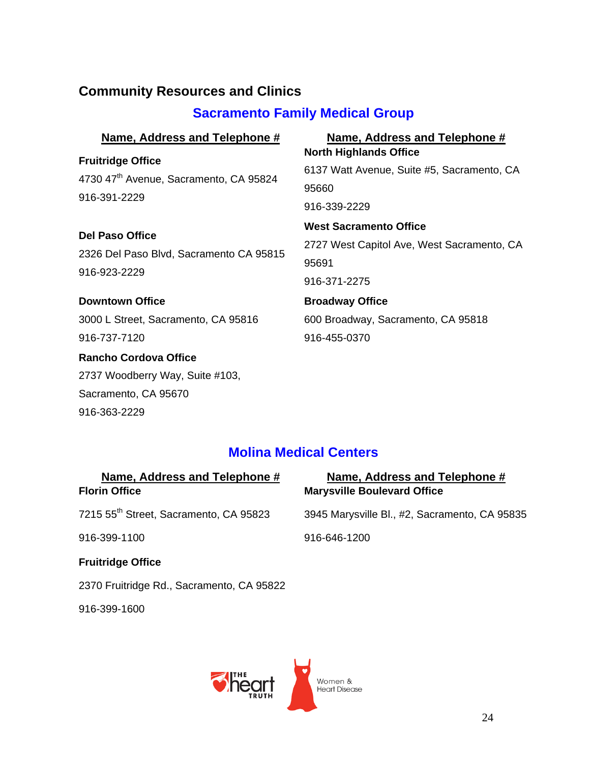# **Community Resources and Clinics**

# **Sacramento Family Medical Group**

| Name, Address and Telephone #                                      | Name, Address and Telephone #              |
|--------------------------------------------------------------------|--------------------------------------------|
| <b>Fruitridge Office</b>                                           | <b>North Highlands Office</b>              |
| 4730 47 <sup>th</sup> Avenue, Sacramento, CA 95824<br>916-391-2229 | 6137 Watt Avenue, Suite #5, Sacramento, CA |
|                                                                    | 95660                                      |
|                                                                    | 916-339-2229                               |
| <b>Del Paso Office</b>                                             | <b>West Sacramento Office</b>              |
|                                                                    | 2727 West Capitol Ave, West Sacramento, CA |
| 2326 Del Paso Blvd, Sacramento CA 95815<br>916-923-2229            | 95691                                      |
|                                                                    | 916-371-2275                               |
| <b>Downtown Office</b>                                             | <b>Broadway Office</b>                     |
| 3000 L Street, Sacramento, CA 95816                                | 600 Broadway, Sacramento, CA 95818         |
| 916-737-7120                                                       | 916-455-0370                               |
| <b>Rancho Cordova Office</b>                                       |                                            |
| 2737 Woodberry Way, Suite #103,                                    |                                            |
| Sacramento, CA 95670                                               |                                            |
| 916-363-2229                                                       |                                            |

## **Molina Medical Centers**

| Name, Address and Telephone #<br><b>Florin Office</b> | Name, Address and Telephone #<br><b>Marysville Boulevard Office</b> |
|-------------------------------------------------------|---------------------------------------------------------------------|
| 7215 55 <sup>th</sup> Street, Sacramento, CA 95823    | 3945 Marysville Bl., #2, Sacramento, CA 95835                       |
| 916-399-1100                                          | 916-646-1200                                                        |
| <b>Fruitridge Office</b>                              |                                                                     |
| 2370 Fruitridge Rd., Sacramento, CA 95822             |                                                                     |

916-399-1600

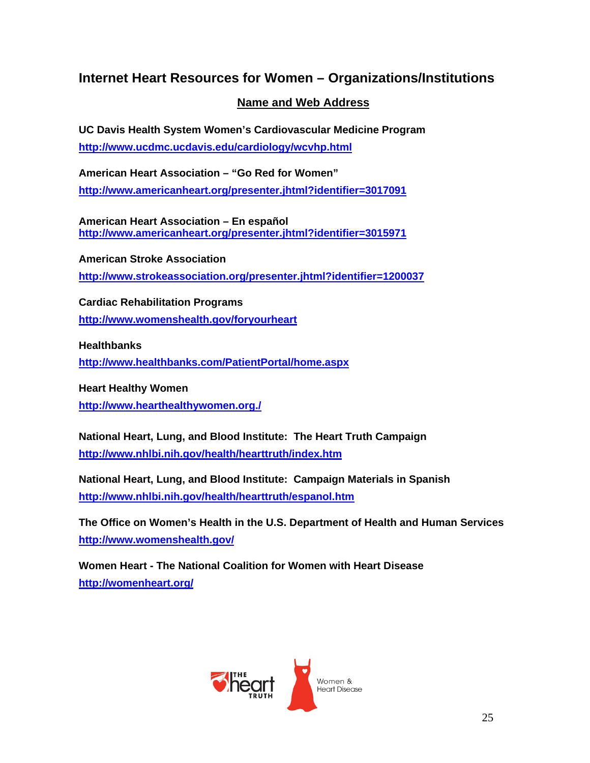### **Internet Heart Resources for Women – Organizations/Institutions**

### **Name and Web Address**

**UC Davis Health System Women's Cardiovascular Medicine Program http://www.ucdmc.ucdavis.edu/cardiology/wcvhp.html**

**American Heart Association – "Go Red for Women" http://www.americanheart.org/presenter.jhtml?identifier=3017091**

**American Heart Association – En español http://www.americanheart.org/presenter.jhtml?identifier=3015971**

**American Stroke Association http://www.strokeassociation.org/presenter.jhtml?identifier=1200037**

**Cardiac Rehabilitation Programs http://www.womenshealth.gov/foryourheart**

**Healthbanks** 

**http://www.healthbanks.com/PatientPortal/home.aspx**

**Heart Healthy Women http://www.hearthealthywomen.org./**

**National Heart, Lung, and Blood Institute: The Heart Truth Campaign http://www.nhlbi.nih.gov/health/hearttruth/index.htm**

**National Heart, Lung, and Blood Institute: Campaign Materials in Spanish http://www.nhlbi.nih.gov/health/hearttruth/espanol.htm**

**The Office on Women's Health in the U.S. Department of Health and Human Services http://www.womenshealth.gov/**

**Women Heart - The National Coalition for Women with Heart Disease http://womenheart.org/**

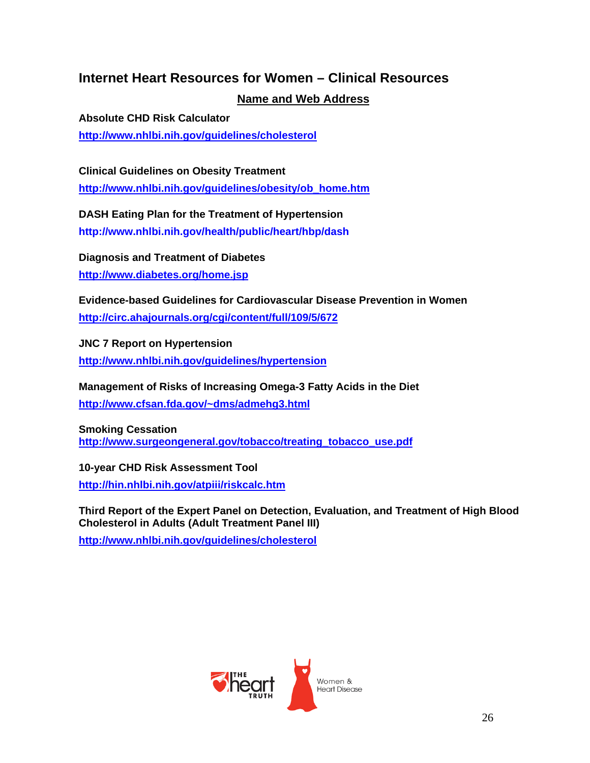### **Internet Heart Resources for Women – Clinical Resources**

### **Name and Web Address**

**Absolute CHD Risk Calculator http://www.nhlbi.nih.gov/guidelines/cholesterol**

**Clinical Guidelines on Obesity Treatment http://www.nhlbi.nih.gov/guidelines/obesity/ob\_home.htm**

**DASH Eating Plan for the Treatment of Hypertension http://www.nhlbi.nih.gov/health/public/heart/hbp/dash** 

**Diagnosis and Treatment of Diabetes http://www.diabetes.org/home.jsp**

**Evidence-based Guidelines for Cardiovascular Disease Prevention in Women http://circ.ahajournals.org/cgi/content/full/109/5/672**

**JNC 7 Report on Hypertension http://www.nhlbi.nih.gov/guidelines/hypertension**

**Management of Risks of Increasing Omega-3 Fatty Acids in the Diet http://www.cfsan.fda.gov/~dms/admehg3.html**

**Smoking Cessation http://www.surgeongeneral.gov/tobacco/treating\_tobacco\_use.pdf**

**10-year CHD Risk Assessment Tool http://hin.nhlbi.nih.gov/atpiii/riskcalc.htm**

**Third Report of the Expert Panel on Detection, Evaluation, and Treatment of High Blood Cholesterol in Adults (Adult Treatment Panel III)** 

**http://www.nhlbi.nih.gov/guidelines/cholesterol**